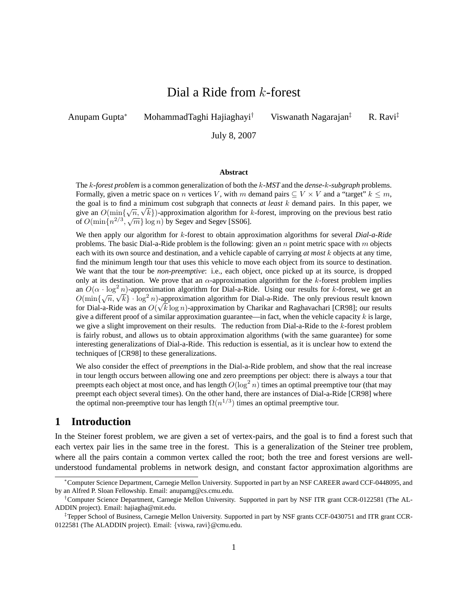# Dial a Ride from k-forest

Anupam Gupta<sup>∗</sup> MohammadTaghi Hajiaghayi† Viswanath Nagarajan‡ R. Ravi‡

July 8, 2007

#### **Abstract**

The k*-forest problem* is a common generalization of both the k*-MST* and the *dense-*k*-subgraph* problems. Formally, given a metric space on n vertices V, with m demand pairs  $\subseteq V \times V$  and a "target"  $k \leq m$ , the goal is to find a minimum cost subgraph that connects *at least* k demand pairs. In this paper, we the goal is to find a minimum cost subgraph that connects *at least k* demand pairs. In this paper, we give an  $O(\min{\{\sqrt{n}, \sqrt{k}\}})$ -approximation algorithm for *k*-forest, improving on the previous best ratio of  $O(\min\{n^{2/3}, \sqrt{m}\}\log n)$  by Segev and Segev [SS06].

We then apply our algorithm for k-forest to obtain approximation algorithms for several *Dial-a-Ride* problems. The basic Dial-a-Ride problem is the following: given an  $n$  point metric space with  $m$  objects each with its own source and destination, and a vehicle capable of carrying *at most* k objects at any time, find the minimum length tour that uses this vehicle to move each object from its source to destination. We want that the tour be *non-preemptive*: i.e., each object, once picked up at its source, is dropped only at its destination. We prove that an  $\alpha$ -approximation algorithm for the k-forest problem implies an  $O(\alpha \cdot \log^2 n)$ -approximation algorithm for Dial-a-Ride. Using our results for k-forest, we get an an  $O(\alpha \cdot \log n)$ -approximation algorithm for Dial-a-Kide. Using our results for  $\kappa$ -forest, we get an  $O(\min{\{\sqrt{n}, \sqrt{k}\}} \cdot \log^2 n)$ -approximation algorithm for Dial-a-Ride. The only previous result known for Dial-a-Ride was an  $O(\sqrt{k} \log n)$ -approximation by Charikar and Raghavachari [CR98]; our results give a different proof of a similar approximation guarantee—in fact, when the vehicle capacity  $k$  is large, we give a slight improvement on their results. The reduction from Dial-a-Ride to the  $k$ -forest problem is fairly robust, and allows us to obtain approximation algorithms (with the same guarantee) for some interesting generalizations of Dial-a-Ride. This reduction is essential, as it is unclear how to extend the techniques of [CR98] to these generalizations.

We also consider the effect of *preemptions* in the Dial-a-Ride problem, and show that the real increase in tour length occurs between allowing one and zero preemptions per object: there is always a tour that preempts each object at most once, and has length  $O(\log^2 n)$  times an optimal preemptive tour (that may preempt each object several times). On the other hand, there are instances of Dial-a-Ride [CR98] where the optimal non-preemptive tour has length  $\Omega(n^{1/3})$  times an optimal preemptive tour.

# **1 Introduction**

In the Steiner forest problem, we are given a set of vertex-pairs, and the goal is to find a forest such that each vertex pair lies in the same tree in the forest. This is a generalization of the Steiner tree problem, where all the pairs contain a common vertex called the root; both the tree and forest versions are wellunderstood fundamental problems in network design, and constant factor approximation algorithms are

<sup>∗</sup>Computer Science Department, Carnegie Mellon University. Supported in part by an NSF CAREER award CCF-0448095, and by an Alfred P. Sloan Fellowship. Email: anupamg@cs.cmu.edu.

<sup>†</sup>Computer Science Department, Carnegie Mellon University. Supported in part by NSF ITR grant CCR-0122581 (The AL-ADDIN project). Email: hajiagha@mit.edu.

<sup>‡</sup>Tepper School of Business, Carnegie Mellon University. Supported in part by NSF grants CCF-0430751 and ITR grant CCR-0122581 (The ALADDIN project). Email: {viswa, ravi}@cmu.edu.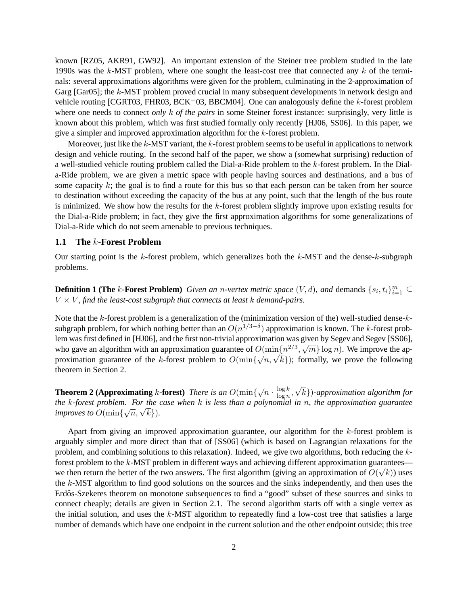known [RZ05, AKR91, GW92]. An important extension of the Steiner tree problem studied in the late 1990s was the  $k$ -MST problem, where one sought the least-cost tree that connected any  $k$  of the terminals: several approximations algorithms were given for the problem, culminating in the 2-approximation of Garg [Gar05]; the k-MST problem proved crucial in many subsequent developments in network design and vehicle routing [CGRT03, FHR03, BCK<sup>+</sup>03, BBCM04]. One can analogously define the k-forest problem where one needs to connect *only* k *of the pairs* in some Steiner forest instance: surprisingly, very little is known about this problem, which was first studied formally only recently [HJ06, SS06]. In this paper, we give a simpler and improved approximation algorithm for the k-forest problem.

Moreover, just like the  $k$ -MST variant, the  $k$ -forest problem seems to be useful in applications to network design and vehicle routing. In the second half of the paper, we show a (somewhat surprising) reduction of a well-studied vehicle routing problem called the Dial-a-Ride problem to the k-forest problem. In the Diala-Ride problem, we are given a metric space with people having sources and destinations, and a bus of some capacity  $k$ ; the goal is to find a route for this bus so that each person can be taken from her source to destination without exceeding the capacity of the bus at any point, such that the length of the bus route is minimized. We show how the results for the  $k$ -forest problem slightly improve upon existing results for the Dial-a-Ride problem; in fact, they give the first approximation algorithms for some generalizations of Dial-a-Ride which do not seem amenable to previous techniques.

#### **1.1 The** k**-Forest Problem**

Our starting point is the k-forest problem, which generalizes both the  $k$ -MST and the dense-k-subgraph problems.

**Definition 1 (The** k-Forest Problem) *Given an n-vertex metric space*  $(V, d)$ , and demands  $\{s_i, t_i\}_{i=1}^m \subseteq$  $V \times V$ , find the least-cost subgraph that connects at least  $k$  demand-pairs.

Note that the k-forest problem is a generalization of the (minimization version of the) well-studied dense-ksubgraph problem, for which nothing better than an  $O(n^{1/3-\delta})$  approximation is known. The k-forest problem was first defined in [HJ06], and the first non-trivial approximation was given by Segev and Segev [SS06], who gave an algorithm with an approximation guarantee of  $O(\min\{n^{2/3}, \sqrt{m}\} \log n)$ . We improve the approximation guarantee of  $O(\min\{n^{2/3}, \sqrt{m}\} \log n)$ . who gave an aigorithm with an approximation guarantee of  $O(\min\{n^{1/2}, \sqrt{m}\} \log n)$ . We improve the approximation guarantee of the k-forest problem to  $O(\min\{\sqrt{n}, \sqrt{k}\})$ ; formally, we prove the following theorem in Section 2.

**Theorem 2 (Approximating** k-forest) *There is an*  $O(\min\{\sqrt{n} \cdot \frac{\log k}{\log n})\}$  $\frac{\log k}{\log n},$ √ k})*-approximation algorithm for the* k*-forest problem. For the case when* k *is less than a polynomial in* n*, the approximation guarantee improves to*  $O(\min\{\sqrt{n}, \sqrt{k}\})$ *.* 

Apart from giving an improved approximation guarantee, our algorithm for the  $k$ -forest problem is arguably simpler and more direct than that of [SS06] (which is based on Lagrangian relaxations for the problem, and combining solutions to this relaxation). Indeed, we give two algorithms, both reducing the kforest problem to the  $k$ -MST problem in different ways and achieving different approximation guarantees we then return the better of the two answers. The first algorithm (giving an approximation of  $O(\sqrt{k})$ ) uses the k-MST algorithm to find good solutions on the sources and the sinks independently, and then uses the Erdős-Szekeres theorem on monotone subsequences to find a "good" subset of these sources and sinks to connect cheaply; details are given in Section 2.1. The second algorithm starts off with a single vertex as the initial solution, and uses the  $k$ -MST algorithm to repeatedly find a low-cost tree that satisfies a large number of demands which have one endpoint in the current solution and the other endpoint outside; this tree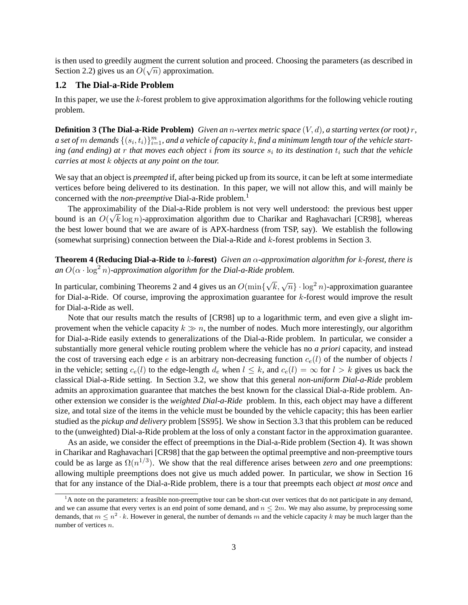is then used to greedily augment the current solution and proceed. Choosing the parameters (as described in Section 2.2) gives us an  $O(\sqrt{n})$  approximation.

#### **1.2 The Dial-a-Ride Problem**

In this paper, we use the  $k$ -forest problem to give approximation algorithms for the following vehicle routing problem.

**Definition 3 (The Dial-a-Ride Problem)** *Given an* n*-vertex metric space* (V, d)*, a starting vertex (or* root*)* r*,* a set of  $m$  demands  $\{(s_i, t_i)\}_{i=1}^m$ , and a vehicle of capacity  $k$ , find a minimum length tour of the vehicle starting (and ending) at r that moves each object *i* from its source  $s_i$  to its destination  $t_i$  such that the vehicle *carries at most* k *objects at any point on the tour.*

We say that an object is *preempted* if, after being picked up from its source, it can be left at some intermediate vertices before being delivered to its destination. In this paper, we will not allow this, and will mainly be concerned with the *non-preemptive* Dial-a-Ride problem.<sup>1</sup>

The approximability of the Dial-a-Ride problem is not very well understood: the previous best upper bound is an  $O(\sqrt{k} \log n)$ -approximation algorithm due to Charikar and Raghavachari [CR98], whereas the best lower bound that we are aware of is APX-hardness (from TSP, say). We establish the following (somewhat surprising) connection between the Dial-a-Ride and k-forest problems in Section 3.

**Theorem 4 (Reducing Dial-a-Ride to** k**-forest)** *Given an* α*-approximation algorithm for* k*-forest, there is* an  $O(\alpha \cdot \log^2 n)$ -approximation algorithm for the Dial-a-Ride problem.

In particular, combining Theorems 2 and 4 gives us an  $O(\min\{$  $\sqrt{k}, \sqrt{n} \} \cdot \log^2 n$ )-approximation guarantee for Dial-a-Ride. Of course, improving the approximation guarantee for k-forest would improve the result for Dial-a-Ride as well.

Note that our results match the results of [CR98] up to a logarithmic term, and even give a slight improvement when the vehicle capacity  $k \gg n$ , the number of nodes. Much more interestingly, our algorithm for Dial-a-Ride easily extends to generalizations of the Dial-a-Ride problem. In particular, we consider a substantially more general vehicle routing problem where the vehicle has no *a priori* capacity, and instead the cost of traversing each edge e is an arbitrary non-decreasing function  $c_e(l)$  of the number of objects l in the vehicle; setting  $c_e(l)$  to the edge-length  $d_e$  when  $l \leq k$ , and  $c_e(l) = \infty$  for  $l > k$  gives us back the classical Dial-a-Ride setting. In Section 3.2, we show that this general *non-uniform Dial-a-Ride* problem admits an approximation guarantee that matches the best known for the classical Dial-a-Ride problem. Another extension we consider is the *weighted Dial-a-Ride* problem. In this, each object may have a different size, and total size of the items in the vehicle must be bounded by the vehicle capacity; this has been earlier studied as the *pickup and delivery* problem [SS95]. We show in Section 3.3 that this problem can be reduced to the (unweighted) Dial-a-Ride problem at the loss of only a constant factor in the approximation guarantee.

As an aside, we consider the effect of preemptions in the Dial-a-Ride problem (Section 4). It was shown in Charikar and Raghavachari [CR98] that the gap between the optimal preemptive and non-preemptive tours could be as large as  $\Omega(n^{1/3})$ . We show that the real difference arises between *zero* and *one* preemptions: allowing multiple preemptions does not give us much added power. In particular, we show in Section 16 that for any instance of the Dial-a-Ride problem, there is a tour that preempts each object *at most once* and

 $<sup>1</sup>A$  note on the parameters: a feasible non-preemptive tour can be short-cut over vertices that do not participate in any demand,</sup> and we can assume that every vertex is an end point of some demand, and  $n \leq 2m$ . We may also assume, by preprocessing some demands, that  $m \leq n^2 \cdot k$ . However in general, the number of demands m and the vehicle capacity k may be much larger than the number of vertices n.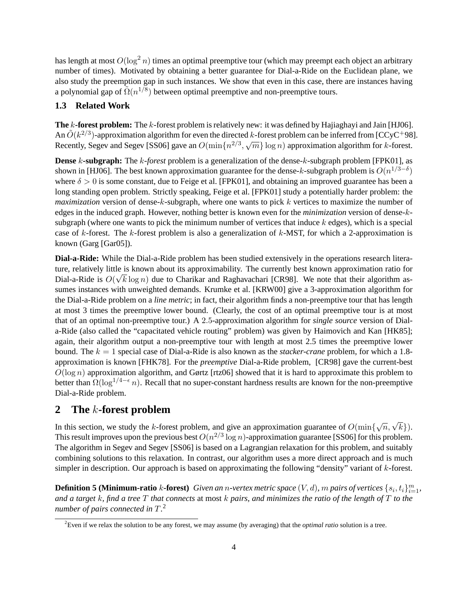has length at most  $O(\log^2 n)$  times an optimal preemptive tour (which may preempt each object an arbitrary number of times). Motivated by obtaining a better guarantee for Dial-a-Ride on the Euclidean plane, we also study the preemption gap in such instances. We show that even in this case, there are instances having a polynomial gap of  $\tilde{\Omega}(n^{1/8})$  between optimal preemptive and non-preemptive tours.

### **1.3 Related Work**

**The** k-forest problem: The k-forest problem is relatively new: it was defined by Hajiaghayi and Jain [HJ06]. An  $\tilde{O}(k^{2/3})$ -approximation algorithm for even the directed k-forest problem can be inferred from [CCyC<sup>+</sup>98]. Recently, Segev and Segev [SS06] gave an  $O(\min\{n^{2/3}, \sqrt{m}\} \log n)$  approximation algorithm for k-forest.

**Dense** k-subgraph: The k-forest problem is a generalization of the dense-k-subgraph problem [FPK01], as shown in [HJ06]. The best known approximation guarantee for the dense-k-subgraph problem is  $O(n^{1/3-\delta})$ where  $\delta > 0$  is some constant, due to Feige et al. [FPK01], and obtaining an improved guarantee has been a long standing open problem. Strictly speaking, Feige et al. [FPK01] study a potentially harder problem: the *maximization* version of dense-k-subgraph, where one wants to pick k vertices to maximize the number of edges in the induced graph. However, nothing better is known even for the *minimization* version of dense-ksubgraph (where one wants to pick the minimum number of vertices that induce  $k$  edges), which is a special case of k-forest. The k-forest problem is also a generalization of  $k$ -MST, for which a 2-approximation is known (Garg [Gar05]).

**Dial-a-Ride:** While the Dial-a-Ride problem has been studied extensively in the operations research literature, relatively little is known about its approximability. The currently best known approximation ratio for Dial-a-Ride is  $O(\sqrt{k} \log n)$  due to Charikar and Raghavachari [CR98]. We note that their algorithm assumes instances with unweighted demands. Krumke et al. [KRW00] give a 3-approximation algorithm for the Dial-a-Ride problem on a *line metric*; in fact, their algorithm finds a non-preemptive tour that has length at most 3 times the preemptive lower bound. (Clearly, the cost of an optimal preemptive tour is at most that of an optimal non-preemptive tour.) A 2.5-approximation algorithm for *single source* version of Diala-Ride (also called the "capacitated vehicle routing" problem) was given by Haimovich and Kan [HK85]; again, their algorithm output a non-preemptive tour with length at most 2.5 times the preemptive lower bound. The k = 1 special case of Dial-a-Ride is also known as the *stacker-crane* problem, for which a 1.8 approximation is known [FHK78]. For the *preemptive* Dial-a-Ride problem, [CR98] gave the current-best  $O(\log n)$  approximation algorithm, and Gørtz [rtz06] showed that it is hard to approximate this problem to better than  $\Omega(\log^{1/4-\epsilon} n)$ . Recall that no super-constant hardness results are known for the non-preemptive Dial-a-Ride problem.

# **2 The** k**-forest problem**

In this section, we study the k-forest problem, and give an approximation guarantee of  $O(\min{\{\sqrt{n}, \sqrt{k}\}})$ . This result improves upon the previous best  $O(n^{2/3} \log n)$ -approximation guarantee [SS06] for this problem. The algorithm in Segev and Segev [SS06] is based on a Lagrangian relaxation for this problem, and suitably combining solutions to this relaxation. In contrast, our algorithm uses a more direct approach and is much simpler in description. Our approach is based on approximating the following "density" variant of k-forest.

**Definition 5 (Minimum-ratio** k-forest) Given an n-vertex metric space  $(V, d)$ , m pairs of vertices  $\{s_i, t_i\}_{i=1}^m$ , *and a target* k*, find a tree* T *that connects* at most k *pairs, and minimizes the ratio of the length of* T *to the number of pairs connected in* T*.* 2

<sup>2</sup>Even if we relax the solution to be any forest, we may assume (by averaging) that the *optimal ratio* solution is a tree.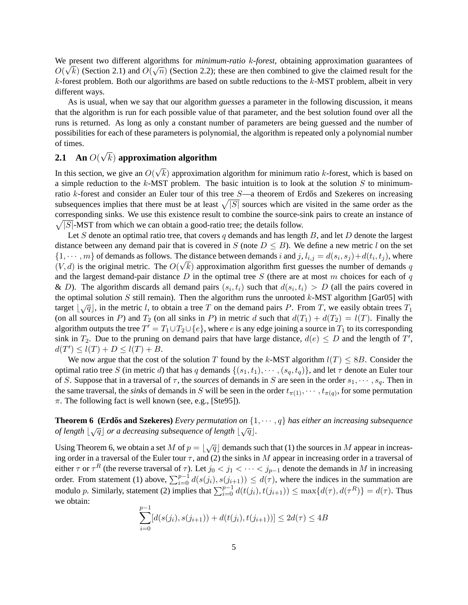We present two different algorithms for *minimum-ratio* k*-forest*, obtaining approximation guarantees of √ √  $O(\sqrt{k})$  (Section 2.1) and  $O(\sqrt{n})$  (Section 2.2); these are then combined to give the claimed result for the  $k$ -forest problem. Both our algorithms are based on subtle reductions to the  $k$ -MST problem, albeit in very different ways.

As is usual, when we say that our algorithm *guesses* a parameter in the following discussion, it means that the algorithm is run for each possible value of that parameter, and the best solution found over all the runs is returned. As long as only a constant number of parameters are being guessed and the number of possibilities for each of these parameters is polynomial, the algorithm is repeated only a polynomial number of times. √

#### **2.1 An** O( k) **approximation algorithm**

In this section, we give an  $O($ √  $k$ ) approximation algorithm for minimum ratio  $k$ -forest, which is based on a simple reduction to the  $k$ -MST problem. The basic intuition is to look at the solution S to minimumratio  $k$ -forest and consider an Euler tour of this tree  $S$ —a theorem of Erdős and Szekeres on increasing subsequences implies that there must be at least  $\sqrt{|S|}$  sources which are visited in the same order as the corresponding sinks. We use this existence result to combine the source-sink pairs to create an instance of  $\sqrt{|S|}$ -MST from which we can obtain a good-ratio tree; the details follow.

Let S denote an optimal ratio tree, that covers  $q$  demands and has length  $B$ , and let  $D$  denote the largest distance between any demand pair that is covered in S (note  $D \leq B$ ). We define a new metric l on the set  $\{1, \dots, m\}$  of demands as follows. The distance between demands i and j,  $l_{i,j} = d(s_i, s_j) + d(t_i, t_j)$ , where  $(V, d)$  is the original metric. The  $O(\sqrt{k})$  approximation algorithm first guesses the number of demands q and the largest demand-pair distance  $D$  in the optimal tree  $S$  (there are at most m choices for each of q & D). The algorithm discards all demand pairs  $(s_i, t_i)$  such that  $d(s_i, t_i) > D$  (all the pairs covered in the optimal solution S still remain). Then the algorithm runs the unrooted  $k$ -MST algorithm [Gar05] with target  $\lfloor \sqrt{q} \rfloor$ , in the metric l, to obtain a tree T on the demand pairs P. From T, we easily obtain trees  $T_1$ (on all sources in P) and  $T_2$  (on all sinks in P) in metric d such that  $d(T_1) + d(T_2) = l(T)$ . Finally the algorithm outputs the tree  $T' = T_1 \cup T_2 \cup \{e\}$ , where  $e$  is any edge joining a source in  $T_1$  to its corresponding sink in  $T_2$ . Due to the pruning on demand pairs that have large distance,  $d(e) \le D$  and the length of T',  $d(T') \le l(T) + D \le l(T) + B.$ 

We now argue that the cost of the solution T found by the k-MST algorithm  $l(T) \leq 8B$ . Consider the optimal ratio tree S (in metric d) that has q demands  $\{(s_1,t_1), \cdots, (s_q,t_q)\}\$ , and let  $\tau$  denote an Euler tour of S. Suppose that in a traversal of  $\tau$ , the *sources* of demands in S are seen in the order  $s_1, \dots, s_q$ . Then in the same traversal, the *sinks* of demands in S will be seen in the order  $t_{\pi(1)}, \cdots, t_{\pi(q)}$ , for some permutation  $\pi$ . The following fact is well known (see, e.g., [Ste95]).

**Theorem 6 (Erdős and Szekeres)** Every permutation on  $\{1, \dots, q\}$  has either an increasing subsequence *of length*  $|\sqrt{q}|$  *or a decreasing subsequence of length*  $|\sqrt{q}|$ .

Using Theorem 6, we obtain a set M of  $p = \lfloor \sqrt{q} \rfloor$  demands such that (1) the sources in M appear in increasing order in a traversal of the Euler tour  $\tau$ , and (2) the sinks in M appear in increasing order in a traversal of either  $\tau$  or  $\tau^R$  (the reverse traversal of  $\tau$ ). Let  $j_0 < j_1 < \cdots < j_{p-1}$  denote the demands in M in increasing order. From statement (1) above,  $\sum_{i=0}^{p-1} d(s(j_i), s(j_{i+1})) \leq d(\tau)$ , where the indices in the summation are modulo p. Similarly, statement (2) implies that  $\sum_{i=0}^{p-1} d(t(j_i), t(j_{i+1})) \le \max\{d(\tau), d(\tau^R)\} = d(\tau)$ . Thus we obtain:

$$
\sum_{i=0}^{p-1} [d(s(j_i), s(j_{i+1})) + d(t(j_i), t(j_{i+1}))] \le 2d(\tau) \le 4B
$$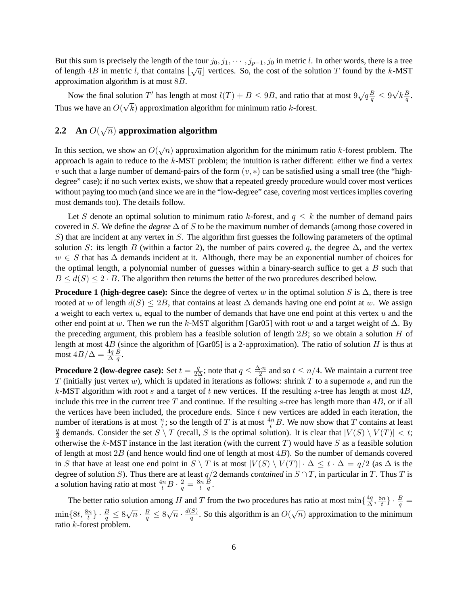But this sum is precisely the length of the tour  $j_0, j_1, \dots, j_{p-1}, j_0$  in metric l. In other words, there is a tree  $\sigma$  length 4B in metric l, that contains  $\sqrt{q}$  vertices. So, the cost of the solution T found by the k-MST approximation algorithm is at most 8B. √

Now the final solution T' has length at most  $l(T) + B \le 9B$ , and ratio that at most  $9\sqrt{q}\frac{B}{q} \le 9$  $\overline{k}\frac{B}{a}$  $\frac{B}{q}.$ Thus we have an  $O($ √  $k$ ) approximation algorithm for minimum ratio  $k$ -forest.

#### **2.2 An** O( √  $\overline{n})$  approximation algorithm

In this section, we show an  $O(\sqrt{n})$  approximation algorithm for the minimum ratio k-forest problem. The approach is again to reduce to the  $k$ -MST problem; the intuition is rather different: either we find a vertex v such that a large number of demand-pairs of the form  $(v, *)$  can be satisfied using a small tree (the "highdegree" case); if no such vertex exists, we show that a repeated greedy procedure would cover most vertices without paying too much (and since we are in the "low-degree" case, covering most vertices implies covering most demands too). The details follow.

Let S denote an optimal solution to minimum ratio k-forest, and  $q \leq k$  the number of demand pairs covered in S. We define the *degree* ∆ of S to be the maximum number of demands (among those covered in  $S$ ) that are incident at any vertex in S. The algorithm first guesses the following parameters of the optimal solution S: its length B (within a factor 2), the number of pairs covered q, the degree  $\Delta$ , and the vertex  $w \in S$  that has  $\Delta$  demands incident at it. Although, there may be an exponential number of choices for the optimal length, a polynomial number of guesses within a binary-search suffice to get a  $B$  such that  $B \leq d(S) \leq 2 \cdot B$ . The algorithm then returns the better of the two procedures described below.

**Procedure 1 (high-degree case):** Since the degree of vertex w in the optimal solution S is  $\Delta$ , there is tree rooted at w of length  $d(S) \leq 2B$ , that contains at least  $\Delta$  demands having one end point at w. We assign a weight to each vertex  $u$ , equal to the number of demands that have one end point at this vertex  $u$  and the other end point at w. Then we run the k-MST algorithm [Gar05] with root w and a target weight of  $\Delta$ . By the preceding argument, this problem has a feasible solution of length  $2B$ ; so we obtain a solution H of length at most  $4B$  (since the algorithm of [Gar05] is a 2-approximation). The ratio of solution H is thus at most  $4B/\Delta = \frac{4q}{\Delta}$ B  $\frac{B}{q}.$ 

**Procedure 2 (low-degree case):** Set  $t = \frac{q}{2\Delta}$ ; note that  $q \leq \frac{\Delta \cdot n}{2}$  $\frac{\Delta \cdot n}{2}$  and so  $t \leq n/4$ . We maintain a current tree T (initially just vertex  $w$ ), which is updated in iterations as follows: shrink T to a supernode s, and run the k-MST algorithm with root s and a target of t new vertices. If the resulting s-tree has length at most  $4B$ , include this tree in the current tree T and continue. If the resulting s-tree has length more than  $4B$ , or if all the vertices have been included, the procedure ends. Since  $t$  new vertices are added in each iteration, the number of iterations is at most  $\frac{n}{t}$ ; so the length of T is at most  $\frac{4n}{t}B$ . We now show that T contains at least q  $\frac{q}{2}$  demands. Consider the set  $S \setminus T$  (recall, S is the optimal solution). It is clear that  $|V(S) \setminus V(T)| < t$ ; otherwise the k-MST instance in the last iteration (with the current  $T$ ) would have S as a feasible solution of length at most  $2B$  (and hence would find one of length at most  $4B$ ). So the number of demands covered in S that have at least one end point in  $S \setminus T$  is at most  $|V(S) \setminus V(T)| \cdot \Delta \leq t \cdot \Delta = q/2$  (as  $\Delta$  is the degree of solution S). Thus there are at least  $q/2$  demands *contained* in  $S \cap T$ , in particular in T. Thus T is a solution having ratio at most  $\frac{4n}{t}B \cdot \frac{2}{q} = \frac{8n}{t}$ t B  $\frac{B}{q}.$ 

The better ratio solution among H and T from the two procedures has ratio at most  $\min\{\frac{4q}{\Delta},\frac{8n}{t}\}\cdot\frac{B}{q}$  $\overline{\Delta}$  ,  $\overline{\phantom{a}t}$  $\min\{8t, \frac{8n}{t}\}\cdot \frac{B}{q} \leq 8\sqrt{n}\cdot \frac{B}{q} \leq 8\sqrt{n}\cdot \frac{d(S)}{q}$  $\frac{S(S)}{q}$ . So this algorithm is an  $O(\sqrt{n})$  approximation to the minimum ratio  $k$ -forest problem.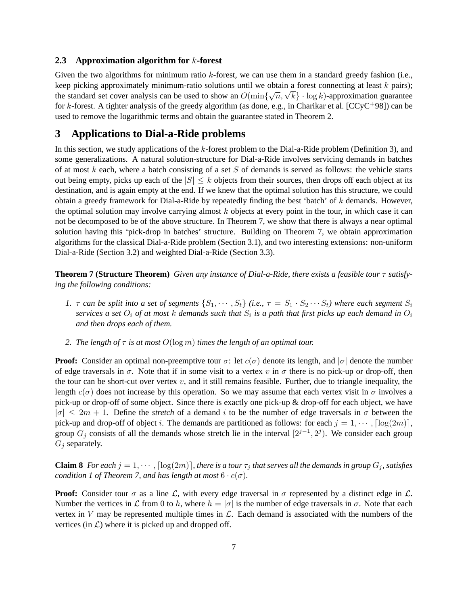### **2.3 Approximation algorithm for** k**-forest**

Given the two algorithms for minimum ratio  $k$ -forest, we can use them in a standard greedy fashion (i.e., keep picking approximately minimum-ratio solutions until we obtain a forest connecting at least k pairs); keep picking approximately minimum-ratio solutions until we obtain a forest connecting at least  $\kappa$  pairs);<br>the standard set cover analysis can be used to show an  $O(\min{\{\sqrt{n}, \sqrt{k}\}} \cdot \log k)$ -approximation guarantee for k-forest. A tighter analysis of the greedy algorithm (as done, e.g., in Charikar et al.  $[CCyc+98]$ ) can be used to remove the logarithmic terms and obtain the guarantee stated in Theorem 2.

## **3 Applications to Dial-a-Ride problems**

In this section, we study applications of the k-forest problem to the Dial-a-Ride problem (Definition 3), and some generalizations. A natural solution-structure for Dial-a-Ride involves servicing demands in batches of at most k each, where a batch consisting of a set  $S$  of demands is served as follows: the vehicle starts out being empty, picks up each of the  $|S| \leq k$  objects from their sources, then drops off each object at its destination, and is again empty at the end. If we knew that the optimal solution has this structure, we could obtain a greedy framework for Dial-a-Ride by repeatedly finding the best 'batch' of k demands. However, the optimal solution may involve carrying almost  $k$  objects at every point in the tour, in which case it can not be decomposed to be of the above structure. In Theorem 7, we show that there is always a near optimal solution having this 'pick-drop in batches' structure. Building on Theorem 7, we obtain approximation algorithms for the classical Dial-a-Ride problem (Section 3.1), and two interesting extensions: non-uniform Dial-a-Ride (Section 3.2) and weighted Dial-a-Ride (Section 3.3).

**Theorem 7 (Structure Theorem)** *Given any instance of Dial-a-Ride, there exists a feasible tour* τ *satisfying the following conditions:*

- *1.*  $\tau$  *can be split into a set of segments*  $\{S_1, \dots, S_t\}$  *(i.e.,*  $\tau = S_1 \cdot S_2 \cdots S_t$ *) where each segment*  $S_i$ services a set  $O_i$  of at most  $k$  demands such that  $S_i$  is a path that first picks up each demand in  $O_i$ *and then drops each of them.*
- *2. The length of* τ *is at most* O(log m) *times the length of an optimal tour.*

**Proof:** Consider an optimal non-preemptive tour  $\sigma$ : let  $c(\sigma)$  denote its length, and  $|\sigma|$  denote the number of edge traversals in  $\sigma$ . Note that if in some visit to a vertex v in  $\sigma$  there is no pick-up or drop-off, then the tour can be short-cut over vertex  $v$ , and it still remains feasible. Further, due to triangle inequality, the length  $c(\sigma)$  does not increase by this operation. So we may assume that each vertex visit in  $\sigma$  involves a pick-up or drop-off of some object. Since there is exactly one pick-up & drop-off for each object, we have  $|\sigma| \leq 2m + 1$ . Define the *stretch* of a demand i to be the number of edge traversals in  $\sigma$  between the pick-up and drop-off of object i. The demands are partitioned as follows: for each  $j = 1, \dots, \lceil \log(2m) \rceil$ , group  $G_j$  consists of all the demands whose stretch lie in the interval  $[2^{j-1}, 2^j)$ . We consider each group  $G_j$  separately.

**Claim 8** *For each*  $j = 1, \dots, \lceil \log(2m) \rceil$ *, there is a tour*  $\tau_j$  *that serves all the demands in group*  $G_j$ *, satisfies condition 1 of Theorem 7, and has length at most*  $6 \cdot c(\sigma)$ *.* 

**Proof:** Consider tour  $\sigma$  as a line  $\mathcal{L}$ , with every edge traversal in  $\sigma$  represented by a distinct edge in  $\mathcal{L}$ . Number the vertices in L from 0 to h, where  $h = |\sigma|$  is the number of edge traversals in  $\sigma$ . Note that each vertex in V may be represented multiple times in  $\mathcal{L}$ . Each demand is associated with the numbers of the vertices (in  $\mathcal{L}$ ) where it is picked up and dropped off.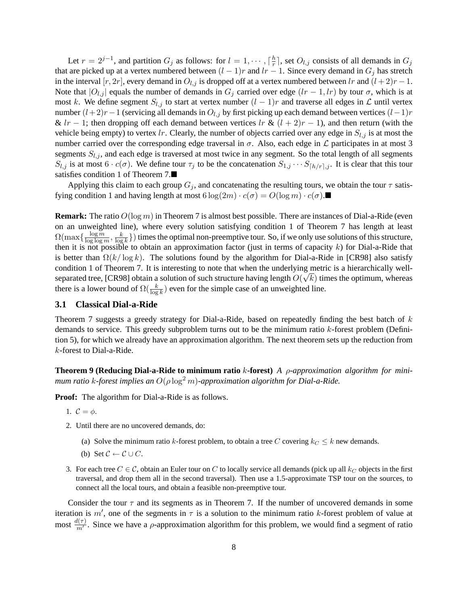Let  $r = 2^{j-1}$ , and partition  $G_j$  as follows: for  $l = 1, \dots, \lceil \frac{h}{r} \rceil$  $\frac{h}{r}$ , set  $O_{l,j}$  consists of all demands in  $G_j$ that are picked up at a vertex numbered between  $(l-1)r$  and  $lr-1$ . Since every demand in  $G_i$  has stretch in the interval [r, 2r], every demand in  $O_{l,j}$  is dropped off at a vertex numbered between lr and  $(l+2)r-1$ . Note that  $|O_{l,j}|$  equals the number of demands in  $G_j$  carried over edge  $(lr-1, lr)$  by tour  $\sigma$ , which is at most k. We define segment  $S_{l,j}$  to start at vertex number  $(l-1)r$  and traverse all edges in  $\mathcal L$  until vertex number  $(l+2)r-1$  (servicing all demands in  $O_{l,j}$  by first picking up each demand between vertices  $(l-1)r$ &  $lr - 1$ ; then dropping off each demand between vertices  $lr \& (l + 2)r - 1$ ), and then return (with the vehicle being empty) to vertex lr. Clearly, the number of objects carried over any edge in  $S_{l,j}$  is at most the number carried over the corresponding edge traversal in  $\sigma$ . Also, each edge in  $\mathcal L$  participates in at most 3 segments  $S_{l,j}$ , and each edge is traversed at most twice in any segment. So the total length of all segments  $S_{l,j}$  is at most  $6 \cdot c(\sigma)$ . We define tour  $\tau_j$  to be the concatenation  $S_{1,j} \cdots S_{\lceil h/r \rceil,j}$ . It is clear that this tour satisfies condition 1 of Theorem 7.

Applying this claim to each group  $G_j$ , and concatenating the resulting tours, we obtain the tour  $\tau$  satisfying condition 1 and having length at most  $6 \log(2m) \cdot c(\sigma) = O(\log m) \cdot c(\sigma)$ .

**Remark:** The ratio  $O(\log m)$  in Theorem 7 is almost best possible. There are instances of Dial-a-Ride (even on an unweighted line), where every solution satisfying condition 1 of Theorem 7 has length at least  $\Omega(\max\{\frac{\log m}{\log\log m})\}$  $\frac{\log m}{\log \log m}, \frac{k}{\log n}$  $\frac{k}{\log k}$ }) times the optimal non-preemptive tour. So, if we only use solutions of this structure, then it is not possible to obtain an approximation factor (just in terms of capacity  $k$ ) for Dial-a-Ride that is better than  $\Omega(k/\log k)$ . The solutions found by the algorithm for Dial-a-Ride in [CR98] also satisfy condition 1 of Theorem 7. It is interesting to note that when the underlying metric is a hierarchically wellseparated tree, [CR98] obtain a solution of such structure having length  $O(\sqrt{k})$  times the optimum, whereas there is a lower bound of  $\Omega(\frac{k}{\log k})$  even for the simple case of an unweighted line.

#### **3.1 Classical Dial-a-Ride**

Theorem 7 suggests a greedy strategy for Dial-a-Ride, based on repeatedly finding the best batch of  $k$ demands to service. This greedy subproblem turns out to be the minimum ratio k-forest problem (Definition 5), for which we already have an approximation algorithm. The next theorem sets up the reduction from k-forest to Dial-a-Ride.

**Theorem 9 (Reducing Dial-a-Ride to minimum ratio** k**-forest)** *A* ρ*-approximation algorithm for minimum ratio* k-forest implies an  $O(\rho \log^2 m)$ -approximation algorithm for Dial-a-Ride.

**Proof:** The algorithm for Dial-a-Ride is as follows.

- 1.  $\mathcal{C} = \phi$ .
- 2. Until there are no uncovered demands, do:
	- (a) Solve the minimum ratio k-forest problem, to obtain a tree C covering  $k_C \leq k$  new demands.
	- (b) Set  $C \leftarrow C \cup C$ .
- 3. For each tree  $C \in \mathcal{C}$ , obtain an Euler tour on C to locally service all demands (pick up all  $k_C$  objects in the first traversal, and drop them all in the second traversal). Then use a 1.5-approximate TSP tour on the sources, to connect all the local tours, and obtain a feasible non-preemptive tour.

Consider the tour  $\tau$  and its segments as in Theorem 7. If the number of uncovered demands in some iteration is  $m'$ , one of the segments in  $\tau$  is a solution to the minimum ratio k-forest problem of value at most  $\frac{d(\tau)}{m'}$ . Since we have a *ρ*-approximation algorithm for this problem, we would find a segment of ratio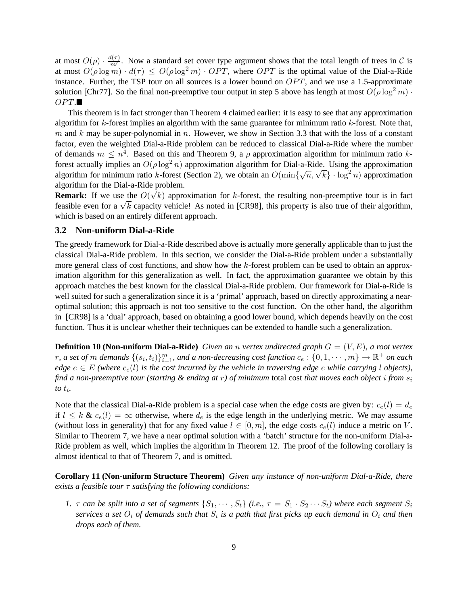at most  $O(\rho) \cdot \frac{d(\tau)}{m'}$  $\frac{n(\tau)}{m'}$ . Now a standard set cover type argument shows that the total length of trees in C is at most  $O(\rho \log m) \cdot d(\tau) \leq O(\rho \log^2 m) \cdot OPT$ , where OPT is the optimal value of the Dial-a-Ride instance. Further, the TSP tour on all sources is a lower bound on  $OPT$ , and we use a 1.5-approximate solution [Chr77]. So the final non-preemptive tour output in step 5 above has length at most  $O(\rho \log^2 m)$ .  $OPT.$ 

This theorem is in fact stronger than Theorem 4 claimed earlier: it is easy to see that any approximation algorithm for k-forest implies an algorithm with the same guarantee for minimum ratio k-forest. Note that, m and k may be super-polynomial in n. However, we show in Section 3.3 that with the loss of a constant factor, even the weighted Dial-a-Ride problem can be reduced to classical Dial-a-Ride where the number of demands  $m \leq n^4$ . Based on this and Theorem 9, a  $\rho$  approximation algorithm for minimum ratio kforest actually implies an  $O(\rho \log^2 n)$  approximation algorithm for Dial-a-Ride. Using the approximation rorest actually implies an  $O(\rho \log^{-n})$  approximation algorithm for Dial-a-Kide. Using the approximation algorithm for minimum ratio k-forest (Section 2), we obtain an  $O(\min{\{\sqrt{n}, \sqrt{k}\}} \cdot \log^2 n)$  approximation algorithm for the Dial-a-Ride problem.

**Remark:** If we use the  $O(\sqrt{k})$  approximation for k-forest, the resulting non-preemptive tour is in fact **Kemark:** If we use the  $O(\sqrt{\kappa})$  approximation for  $\kappa$ -forest, the resulting non-preemptive tour is in fact<br>feasible even for a  $\sqrt{k}$  capacity vehicle! As noted in [CR98], this property is also true of their algorithm which is based on an entirely different approach.

#### **3.2 Non-uniform Dial-a-Ride**

The greedy framework for Dial-a-Ride described above is actually more generally applicable than to just the classical Dial-a-Ride problem. In this section, we consider the Dial-a-Ride problem under a substantially more general class of cost functions, and show how the k-forest problem can be used to obtain an approximation algorithm for this generalization as well. In fact, the approximation guarantee we obtain by this approach matches the best known for the classical Dial-a-Ride problem. Our framework for Dial-a-Ride is well suited for such a generalization since it is a 'primal' approach, based on directly approximating a nearoptimal solution; this approach is not too sensitive to the cost function. On the other hand, the algorithm in [CR98] is a 'dual' approach, based on obtaining a good lower bound, which depends heavily on the cost function. Thus it is unclear whether their techniques can be extended to handle such a generalization.

**Definition 10 (Non-uniform Dial-a-Ride)** *Given an* n *vertex undirected graph* G = (V, E)*, a root vertex*  $r$ , a set of  $m$  demands  $\{(s_i,t_i)\}_{i=1}^m$ , and a non-decreasing cost function  $c_e:\{0,1,\cdots,m\}\to\mathbb{R}^+$  on each *edge*  $e \in E$  *(where*  $c_e(l)$  *is the cost incurred by the vehicle in traversing edge e while carrying l objects)*, *find a non-preemptive tour (starting & ending at* r*) of minimum* total cost *that moves each object* i *from* s<sup>i</sup> *to*  $t_i$ .

Note that the classical Dial-a-Ride problem is a special case when the edge costs are given by:  $c_e(l) = d_e$ if  $l \leq k \& c_e(l) = \infty$  otherwise, where  $d_e$  is the edge length in the underlying metric. We may assume (without loss in generality) that for any fixed value  $l \in [0, m]$ , the edge costs  $c_e(l)$  induce a metric on V. Similar to Theorem 7, we have a near optimal solution with a 'batch' structure for the non-uniform Dial-a-Ride problem as well, which implies the algorithm in Theorem 12. The proof of the following corollary is almost identical to that of Theorem 7, and is omitted.

**Corollary 11 (Non-uniform Structure Theorem)** *Given any instance of non-uniform Dial-a-Ride, there exists a feasible tour* τ *satisfying the following conditions:*

*1.*  $\tau$  *can be split into a set of segments*  $\{S_1, \dots, S_t\}$  *(i.e.,*  $\tau = S_1 \cdot S_2 \cdots S_t$ *) where each segment*  $S_i$ services a set  $O_i$  of demands such that  $S_i$  is a path that first picks up each demand in  $O_i$  and then *drops each of them.*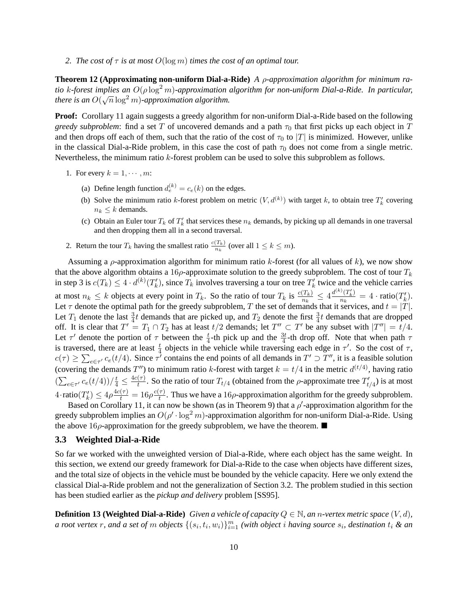*2. The cost of*  $\tau$  *is at most*  $O(\log m)$  *times the cost of an optimal tour.* 

**Theorem 12 (Approximating non-uniform Dial-a-Ride)** *A* ρ*-approximation algorithm for minimum ratio* k-forest implies an  $O(\rho \log^2 m)$ -approximation algorithm for non-uniform Dial-a-Ride. In particular,  $\mu$   $\kappa$ -*jorest implies an*  $O(p \log n)$ -approximation algorithm.

**Proof:** Corollary 11 again suggests a greedy algorithm for non-uniform Dial-a-Ride based on the following *greedy subproblem*: find a set T of uncovered demands and a path  $\tau_0$  that first picks up each object in T and then drops off each of them, such that the ratio of the cost of  $\tau_0$  to  $|T|$  is minimized. However, unlike in the classical Dial-a-Ride problem, in this case the cost of path  $\tau_0$  does not come from a single metric. Nevertheless, the minimum ratio k-forest problem can be used to solve this subproblem as follows.

- 1. For every  $k = 1, \cdots, m$ :
	- (a) Define length function  $d_e^{(k)} = c_e(k)$  on the edges.
	- (b) Solve the minimum ratio k-forest problem on metric  $(V, d^{(k)})$  with target k, to obtain tree  $T'_{k}$  covering  $n_k \leq k$  demands.
	- (c) Obtain an Euler tour  $T_k$  of  $T'_k$  that services these  $n_k$  demands, by picking up all demands in one traversal and then dropping them all in a second traversal.
- 2. Return the tour  $T_k$  having the smallest ratio  $\frac{c(T_k)}{n_k}$  (over all  $1 \leq k \leq m$ ).

Assuming a  $\rho$ -approximation algorithm for minimum ratio k-forest (for all values of k), we now show that the above algorithm obtains a 16 $\rho$ -approximate solution to the greedy subproblem. The cost of tour  $T_k$ in step 3 is  $c(T_k) \leq 4 \cdot d^{(k)}(T_k)$ , since  $T_k$  involves traversing a tour on tree  $T_k'$  twice and the vehicle carries at most  $n_k \le k$  objects at every point in  $T_k$ . So the ratio of tour  $T_k$  is  $\frac{c(T_k)}{n_k} \le 4 \frac{d^{(k)}(T_k')}{n_k}$  $\frac{\partial (T_k)}{\partial n_k} = 4 \cdot \text{ratio}(T_k).$ Let  $\tau$  denote the optimal path for the greedy subproblem, T the set of demands that it services, and  $t = |T|$ . Let  $T_1$  denote the last  $\frac{3}{4}t$  demands that are picked up, and  $T_2$  denote the first  $\frac{3}{4}t$  demands that are dropped off. It is clear that  $T' = T_1 \cap T_2$  has at least  $t/2$  demands; let  $T'' \subset T'$  be any subset with  $|T''| = t/4$ . Let  $\tau'$  denote the portion of  $\tau$  between the  $\frac{t}{4}$ -th pick up and the  $\frac{3t}{4}$ -th drop off. Note that when path  $\tau$ is traversed, there are at least  $\frac{t}{4}$  objects in the vehicle while traversing each edge in  $\tau'$ . So the cost of  $\tau$ ,  $c(\tau) \ge \sum_{e \in \tau'} c_e(t/4)$ . Since  $\tau'$  contains the end points of all demands in  $T' \supset T''$ , it is a feasible solution (covering the demands T'') to minimum ratio k-forest with target  $k = t/4$  in the metric  $d^{(t/4)}$ , having ratio  $\left(\sum_{e \in \tau'} c_e(t/4)\right) / \frac{t}{4} \leq \frac{4c(\tau)}{t}$  $\frac{(\tau)}{t}$ . So the ratio of tour  $T_{t/4}$  (obtained from the ρ-approximate tree  $T'_{t/4}$ ) is at most  $4 \cdot \text{ratio}(T'_k) \leq 4\rho \frac{4c(\tau)}{t} = 16\rho \frac{c(\tau)}{t}$  $\frac{\tau}{t}$ . Thus we have a 16 $\rho$ -approximation algorithm for the greedy subproblem.

Based on Corollary 11, it can now be shown (as in Theorem 9) that a  $\rho'$ -approximation algorithm for the greedy subproblem implies an  $O(\rho' \cdot \log^2 m)$ -approximation algorithm for non-uniform Dial-a-Ride. Using the above 16 $\rho$ -approximation for the greedy subproblem, we have the theorem.

#### **3.3 Weighted Dial-a-Ride**

So far we worked with the unweighted version of Dial-a-Ride, where each object has the same weight. In this section, we extend our greedy framework for Dial-a-Ride to the case when objects have different sizes, and the total size of objects in the vehicle must be bounded by the vehicle capacity. Here we only extend the classical Dial-a-Ride problem and not the generalization of Section 3.2. The problem studied in this section has been studied earlier as the *pickup and delivery* problem [SS95].

**Definition 13 (Weighted Dial-a-Ride)** *Given a vehicle of capacity*  $Q \in \mathbb{N}$ *, an n-vertex metric space*  $(V, d)$ *, a* root vertex  $r$ , and a set of  $m$  objects  $\{(s_i, t_i, w_i)\}_{i=1}^m$  (with object i having source  $s_i$ , destination  $t_i$  & an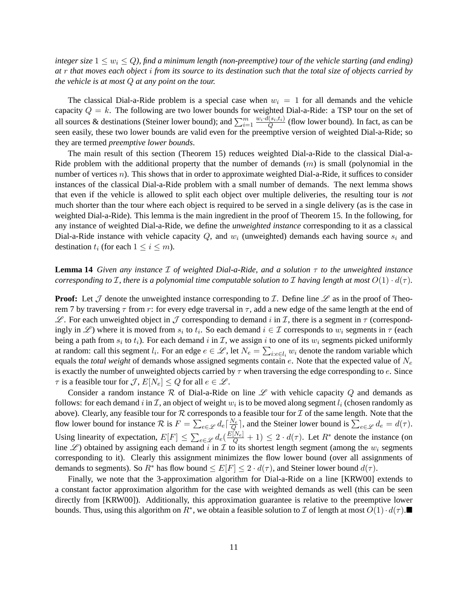*integer size*  $1 \leq w_i \leq Q$ *), find a minimum length (non-preemptive) tour of the vehicle starting (and ending) at* r *that moves each object* i *from its source to its destination such that the total size of objects carried by the vehicle is at most* Q *at any point on the tour.*

The classical Dial-a-Ride problem is a special case when  $w_i = 1$  for all demands and the vehicle capacity  $Q = k$ . The following are two lower bounds for weighted Dial-a-Ride: a TSP tour on the set of all sources & destinations (Steiner lower bound); and  $\sum_{i=1}^{m} \frac{w_i \cdot d(s_i, t_i)}{Q}$  $\frac{(s_i, t_i)}{Q}$  (flow lower bound). In fact, as can be seen easily, these two lower bounds are valid even for the preemptive version of weighted Dial-a-Ride; so they are termed *preemptive lower bounds*.

The main result of this section (Theorem 15) reduces weighted Dial-a-Ride to the classical Dial-a-Ride problem with the additional property that the number of demands  $(m)$  is small (polynomial in the number of vertices  $n$ ). This shows that in order to approximate weighted Dial-a-Ride, it suffices to consider instances of the classical Dial-a-Ride problem with a small number of demands. The next lemma shows that even if the vehicle is allowed to split each object over multiple deliveries, the resulting tour is *not* much shorter than the tour where each object is required to be served in a single delivery (as is the case in weighted Dial-a-Ride). This lemma is the main ingredient in the proof of Theorem 15. In the following, for any instance of weighted Dial-a-Ride, we define the *unweighted instance* corresponding to it as a classical Dial-a-Ride instance with vehicle capacity Q, and  $w_i$  (unweighted) demands each having source  $s_i$  and destination  $t_i$  (for each  $1 \leq i \leq m$ ).

**Lemma 14** *Given any instance* I *of weighted Dial-a-Ride, and a solution* τ *to the unweighted instance corresponding to*  $\mathcal{I}$ , there is a polynomial time computable solution to  $\mathcal{I}$  having length at most  $O(1) \cdot d(\tau)$ .

**Proof:** Let  $\mathcal J$  denote the unweighted instance corresponding to  $\mathcal I$ . Define line  $\mathcal L$  as in the proof of Theorem 7 by traversing  $\tau$  from r: for every edge traversal in  $\tau$ , add a new edge of the same length at the end of  $\mathscr{L}$ . For each unweighted object in  $\mathcal J$  corresponding to demand i in  $\mathcal I$ , there is a segment in  $\tau$  (correspondingly in  $\mathscr{L}$ ) where it is moved from  $s_i$  to  $t_i$ . So each demand  $i \in \mathcal{I}$  corresponds to  $w_i$  segments in  $\tau$  (each being a path from  $s_i$  to  $t_i$ ). For each demand  $i$  in  $\mathcal{I}$ , we assign  $i$  to one of its  $w_i$  segments picked uniformly at random: call this segment  $l_i$ . For an edge  $e \in \mathcal{L}$ , let  $N_e = \sum_{i:e \in l_i} w_i$  denote the random variable which equals the *total weight* of demands whose assigned segments contain e. Note that the expected value of  $N_e$ is exactly the number of unweighted objects carried by  $\tau$  when traversing the edge corresponding to  $e$ . Since  $\tau$  is a feasible tour for  $\mathcal{J}, E[N_e] \leq Q$  for all  $e \in \mathcal{L}$ .

Consider a random instance R of Dial-a-Ride on line  $\mathscr L$  with vehicle capacity Q and demands as follows: for each demand  $i$  in  $\mathcal I$ , an object of weight  $w_i$  is to be moved along segment  $l_i$  (chosen randomly as above). Clearly, any feasible tour for  $R$  corresponds to a feasible tour for  $I$  of the same length. Note that the flow lower bound for instance  $\mathcal R$  is  $F = \sum_{e \in \mathscr L} d_e \left[ \frac{N_e}{Q} \right]$ , and the Steiner lower bound is  $\sum_{e \in \mathscr L} d_e = d(\tau)$ . Using linearity of expectation,  $E[F] \leq \sum_{e \in \mathcal{L}} d_e(\frac{E[N_e]}{Q} + 1) \leq 2 \cdot d(\tau)$ . Let  $R^*$  denote the instance (on line  $\mathscr{L}$ ) obtained by assigning each demand i in  $\mathcal I$  to its shortest length segment (among the  $w_i$  segments corresponding to it). Clearly this assignment minimizes the flow lower bound (over all assignments of demands to segments). So  $R^*$  has flow bound  $\leq E[F] \leq 2 \cdot d(\tau)$ , and Steiner lower bound  $d(\tau)$ .

Finally, we note that the 3-approximation algorithm for Dial-a-Ride on a line [KRW00] extends to a constant factor approximation algorithm for the case with weighted demands as well (this can be seen directly from [KRW00]). Additionally, this approximation guarantee is relative to the preemptive lower bounds. Thus, using this algorithm on  $R^*$ , we obtain a feasible solution to  $\mathcal I$  of length at most  $O(1) \cdot d(\tau)$ .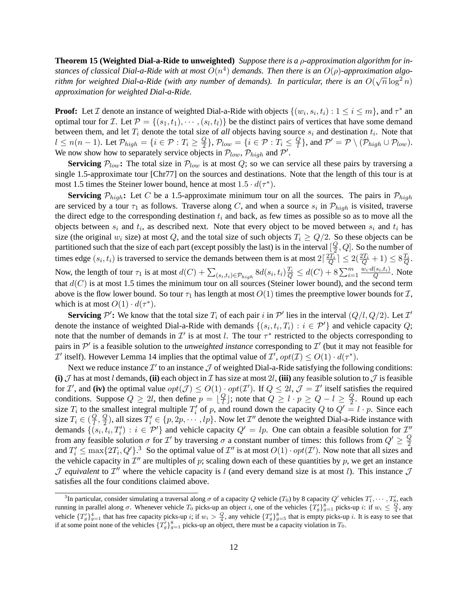**Theorem 15 (Weighted Dial-a-Ride to unweighted)** *Suppose there is a* ρ*-approximation algorithm for instances of classical Dial-a-Ride with at most*  $O(n^4)$  *demands. Then there is an*  $O(\rho)$ -approximation algorithm for weighted Dial-a-Ride (with any number of demands). In particular, there is an  $O(\sqrt{n}\log^2 n)$ *approximation for weighted Dial-a-Ride.*

**Proof:** Let *I* denote an instance of weighted Dial-a-Ride with objects  $\{(w_i, s_i, t_i) : 1 \le i \le m\}$ , and  $\tau^*$  an optimal tour for *T*. Let  $P = \{(s_1, t_1), \dots, (s_l, t_l)\}\$  be the distinct pairs of vertices that have some demand between them, and let  $T_i$  denote the total size of *all* objects having source  $s_i$  and destination  $t_i$ . Note that  $l \leq n(n-1)$ . Let  $\mathcal{P}_{high} = \{i \in \mathcal{P} : T_i \geq \frac{Q}{2}\}$  $\{\frac{Q}{2}\},\mathcal{P}_{low}=\{i\in\mathcal{P}:T_i\leq\frac{Q}{l}\}$  $\frac{Q}{l}$ }, and  $\mathcal{P}' = \mathcal{P} \setminus (\mathcal{P}_{high} \cup \mathcal{P}_{low}).$ We now show how to separately service objects in  $\mathcal{P}_{low}$ ,  $\mathcal{P}_{high}$  and  $\mathcal{P}'$ .

**Servicing**  $P_{low}$ : The total size in  $P_{low}$  is at most Q; so we can service all these pairs by traversing a single 1.5-approximate tour [Chr77] on the sources and destinations. Note that the length of this tour is at most 1.5 times the Steiner lower bound, hence at most  $1.5 \cdot d(\tau^*)$ .

**Servicing**  $\mathcal{P}_{high}$ : Let C be a 1.5-approximate minimum tour on all the sources. The pairs in  $\mathcal{P}_{high}$ are serviced by a tour  $\tau_1$  as follows. Traverse along C, and when a source  $s_i$  in  $\mathcal{P}_{high}$  is visited, traverse the direct edge to the corresponding destination  $t_i$  and back, as few times as possible so as to move all the objects between  $s_i$  and  $t_i$ , as described next. Note that every object to be moved between  $s_i$  and  $t_i$  has size (the original  $w_i$  size) at most Q, and the total size of such objects  $T_i \geq Q/2$ . So these objects can be partitioned such that the size of each part (except possibly the last) is in the interval  $\left[\frac{Q}{2}\right]$  $\frac{Q}{2}$ , Q. So the number of times edge  $(s_i, t_i)$  is traversed to service the demands between them is at most  $2\lceil \frac{2T_i}{Q} \rceil \leq 2(\frac{2T_i}{Q} + 1) \leq 8\frac{T_i}{Q}$ . Now, the length of tour  $\tau_1$  is at most  $d(C) + \sum_{(s_i,t_i) \in \mathcal{P}_{high}} 8d(s_i,t_i) \frac{T_i}{Q} \le d(C) + 8\sum_{i=1}^{m} \frac{w_i \cdot d(s_i,t_i)}{Q}$  $\frac{(s_i,t_i)}{Q}$ . Note that  $d(C)$  is at most 1.5 times the minimum tour on all sources (Steiner lower bound), and the second term above is the flow lower bound. So tour  $\tau_1$  has length at most  $O(1)$  times the preemptive lower bounds for  $\mathcal{I}$ , which is at most  $O(1) \cdot d(\tau^*)$ .

**Servicing**  $\mathcal{P}'$ : We know that the total size  $T_i$  of each pair i in  $\mathcal{P}'$  lies in the interval  $(Q/l, Q/2)$ . Let  $\mathcal{I}'$ denote the instance of weighted Dial-a-Ride with demands  $\{(s_i, t_i, T_i) : i \in \mathcal{P}'\}$  and vehicle capacity Q; note that the number of demands in  $\mathcal{I}'$  is at most l. The tour  $\tau^*$  restricted to the objects corresponding to pairs in  $\mathcal{P}'$  is a feasible solution to the *unweighted instance* corresponding to  $\mathcal{I}'$  (but it may not feasible for *T'* itself). However Lemma 14 implies that the optimal value of *T'*,  $opt(\mathcal{I}) \leq O(1) \cdot d(\tau^*)$ .

Next we reduce instance  $\mathcal{I}'$  to an instance  $\mathcal{J}$  of weighted Dial-a-Ride satisfying the following conditions: **(i)**  $\mathcal J$  has at most l demands, **(ii)** each object in  $\mathcal I$  has size at most 2l, **(iii)** any feasible solution to  $\mathcal J$  is feasible for I', and (iv) the optimal value  $opt(\mathcal{J}) \leq O(1) \cdot opt(\mathcal{I})$ . If  $Q \leq 2l$ ,  $\mathcal{J} = \mathcal{I}'$  itself satisfies the required conditions. Suppose  $Q \geq 2l$ , then define  $p = \lfloor \frac{Q}{l} \rfloor$  $\frac{Q}{l}$  ; note that  $Q \geq l \cdot p \geq Q - l \geq \frac{Q}{2}$  $\frac{Q}{2}$ . Round up each size  $T_i$  to the smallest integral multiple  $T'_i$  of p, and round down the capacity Q to  $Q' = l \cdot p$ . Since each size  $T_i \in (\frac{Q}{l})$  $\frac{Q}{l}, \frac{Q}{2}$  $\frac{Q}{2}$ ), all sizes  $T'_i \in \{p, 2p, \dots, lp\}$ . Now let  $\mathcal{I}''$  denote the weighted Dial-a-Ride instance with demands  $\{(s_i, t_i, T'_i) : i \in \mathcal{P}'\}$  and vehicle capacity  $Q' = lp$ . One can obtain a feasible solution for  $\mathcal{I}''$ from any feasible solution  $\sigma$  for  $\mathcal{I}'$  by traversing  $\sigma$  a constant number of times: this follows from  $Q' \geq \frac{Q}{2}$ 2 and  $T_i' \le \max\{2T_i, Q'\}$ .<sup>3</sup> So the optimal value of  $\mathcal{I}''$  is at most  $O(1) \cdot opt(\mathcal{I}')$ . Now note that all sizes and the vehicle capacity in  $\mathcal{I}''$  are multiples of p; scaling down each of these quantities by p, we get an instance  $\mathcal J$  *equivalent* to  $\mathcal I''$  where the vehicle capacity is l (and every demand size is at most l). This instance  $\mathcal J$ satisfies all the four conditions claimed above.

<sup>&</sup>lt;sup>3</sup>In particular, consider simulating a traversal along  $\sigma$  of a capacity Q vehicle (T<sub>0</sub>) by 8 capacity Q' vehicles  $T'_1, \cdots, T'_8$ , each running in parallel along  $\sigma$ . Whenever vehicle  $T_0$  picks-up an object i, one of the vehicles  $\{T'_g\}_{g=1}^8$  picks-up i: if  $w_i \le \frac{Q}{4}$ , any vehicle  $\{T_g'\}_{g=1}^4$  that has free capacity picks-up i; if  $w_i > \frac{Q}{4}$ , any vehicle  $\{T_g'\}_{g=5}^8$  that is empty picks-up i. It is easy to see that if at some point none of the vehicles  $\{T_q'\}_{q=1}^8$  picks-up an object, there must be a capacity violation in  $T_0$ .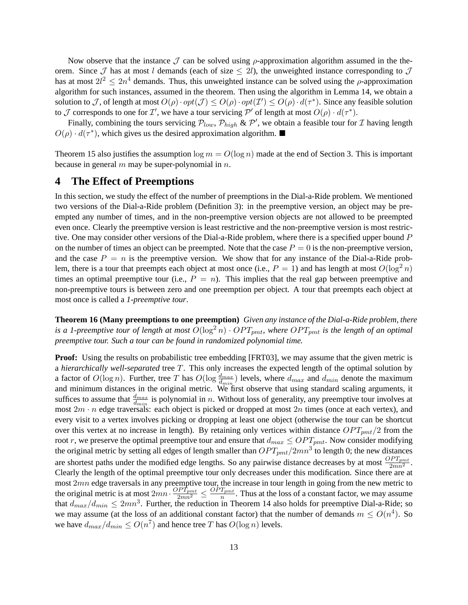Now observe that the instance  $\mathcal J$  can be solved using  $\rho$ -approximation algorithm assumed in the theorem. Since  $\mathcal J$  has at most l demands (each of size  $\leq 2l$ ), the unweighted instance corresponding to  $\mathcal J$ has at most  $2l^2 \leq 2n^4$  demands. Thus, this unweighted instance can be solved using the  $\rho$ -approximation algorithm for such instances, assumed in the theorem. Then using the algorithm in Lemma 14, we obtain a solution to J, of length at most  $O(\rho) \cdot opt(\mathcal{J}) \leq O(\rho) \cdot opt(\mathcal{I}') \leq O(\rho) \cdot d(\tau^*)$ . Since any feasible solution to  $\mathcal J$  corresponds to one for  $\mathcal I'$ , we have a tour servicing  $\mathcal P'$  of length at most  $O(\rho) \cdot d(\tau^*)$ .

Finally, combining the tours servicing  $\mathcal{P}_{low}$ ,  $\mathcal{P}_{high}$  &  $\mathcal{P}'$ , we obtain a feasible tour for  $\mathcal I$  having length  $O(\rho) \cdot d(\tau^*)$ , which gives us the desired approximation algorithm.

Theorem 15 also justifies the assumption  $\log m = O(\log n)$  made at the end of Section 3. This is important because in general  $m$  may be super-polynomial in  $n$ .

### **4 The Effect of Preemptions**

In this section, we study the effect of the number of preemptions in the Dial-a-Ride problem. We mentioned two versions of the Dial-a-Ride problem (Definition 3): in the preemptive version, an object may be preempted any number of times, and in the non-preemptive version objects are not allowed to be preempted even once. Clearly the preemptive version is least restrictive and the non-preemptive version is most restrictive. One may consider other versions of the Dial-a-Ride problem, where there is a specified upper bound P on the number of times an object can be preempted. Note that the case  $P = 0$  is the non-preemptive version, and the case  $P = n$  is the preemptive version. We show that for any instance of the Dial-a-Ride problem, there is a tour that preempts each object at most once (i.e.,  $P = 1$ ) and has length at most  $O(\log^2 n)$ times an optimal preemptive tour (i.e.,  $P = n$ ). This implies that the real gap between preemptive and non-preemptive tours is between zero and one preemption per object. A tour that preempts each object at most once is called a *1-preemptive tour*.

**Theorem 16 (Many preemptions to one preemption)** *Given any instance of the Dial-a-Ride problem, there is a 1-preemptive tour of length at most*  $O(\log^2 n) \cdot OPT_{pmt}$ , where  $OPT_{pmt}$  *is the length of an optimal preemptive tour. Such a tour can be found in randomized polynomial time.*

**Proof:** Using the results on probabilistic tree embedding [FRT03], we may assume that the given metric is a *hierarchically well-separated* tree T. This only increases the expected length of the optimal solution by a factor of  $O(\log n)$ . Further, tree T has  $O(\log \frac{d_{max}}{d_{min}})$  levels, where  $d_{max}$  and  $d_{min}$  denote the maximum and minimum distances in the original metric. We first observe that using standard scaling arguments, it suffices to assume that  $\frac{d_{max}}{d_{min}}$  is polynomial in n. Without loss of generality, any preemptive tour involves at most  $2m \cdot n$  edge traversals: each object is picked or dropped at most  $2n$  times (once at each vertex), and every visit to a vertex involves picking or dropping at least one object (otherwise the tour can be shortcut over this vertex at no increase in length). By retaining only vertices within distance  $OPT_{pmt}/2$  from the root r, we preserve the optimal preemptive tour and ensure that  $d_{max} \leq OPT_{pmt}$ . Now consider modifying the original metric by setting all edges of length smaller than  $OPT_{pmt}/2mn^3$  to length 0; the new distances are shortest paths under the modified edge lengths. So any pairwise distance decreases by at most  $\frac{OPT_{pmt}}{2mn^2}$ . Clearly the length of the optimal preemptive tour only decreases under this modification. Since there are at most 2mn edge traversals in any preemptive tour, the increase in tour length in going from the new metric to the original metric is at most  $2mn \cdot \frac{OPT_{pmt}}{2mn^2} \leq \frac{OPT_{pmt}}{n}$  $\frac{I_{pmt}}{n}$ . Thus at the loss of a constant factor, we may assume that  $d_{max}/d_{min} \leq 2mn^3$ . Further, the reduction in Theorem 14 also holds for preemptive Dial-a-Ride; so we may assume (at the loss of an additional constant factor) that the number of demands  $m \leq O(n^4)$ . So we have  $d_{max}/d_{min} \leq O(n^7)$  and hence tree T has  $O(\log n)$  levels.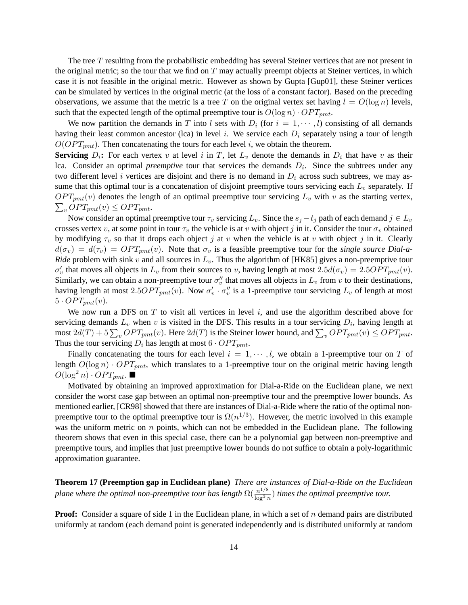The tree T resulting from the probabilistic embedding has several Steiner vertices that are not present in the original metric; so the tour that we find on  $T$  may actually preempt objects at Steiner vertices, in which case it is not feasible in the original metric. However as shown by Gupta [Gup01], these Steiner vertices can be simulated by vertices in the original metric (at the loss of a constant factor). Based on the preceding observations, we assume that the metric is a tree T on the original vertex set having  $l = O(\log n)$  levels, such that the expected length of the optimal preemptive tour is  $O(\log n) \cdot OPT_{pmt}$ .

We now partition the demands in T into l sets with  $D_i$  (for  $i = 1, \dots, l$ ) consisting of all demands having their least common ancestor (lca) in level i. We service each  $D<sub>i</sub>$  separately using a tour of length  $O(OPT_{pmt})$ . Then concatenating the tours for each level i, we obtain the theorem.

**Servicing**  $D_i$ : For each vertex v at level i in T, let  $L_v$  denote the demands in  $D_i$  that have v as their lca. Consider an optimal *preemptive* tour that services the demands  $D_i$ . Since the subtrees under any two different level i vertices are disjoint and there is no demand in  $D_i$  across such subtrees, we may assume that this optimal tour is a concatenation of disjoint preemptive tours servicing each  $L<sub>v</sub>$  separately. If  $OPT_{pmt}(v)$  denotes the length of an optimal preemptive tour servicing  $L_v$  with v as the starting vertex,  $\sum_{v} OPT_{pmt}(v) \leq OPT_{pmt}.$ 

Now consider an optimal preemptive tour  $\tau_v$  servicing  $L_v$ . Since the  $s_j - t_j$  path of each demand  $j \in L_v$ crosses vertex v, at some point in tour  $\tau_v$  the vehicle is at v with object j in it. Consider the tour  $\sigma_v$  obtained by modifying  $\tau_v$  so that it drops each object j at v when the vehicle is at v with object j in it. Clearly  $d(\sigma_v) = d(\tau_v) = OPT_{pmt}(v)$ . Note that  $\sigma_v$  is a feasible preemptive tour for the *single source Dial-a-Ride* problem with sink v and all sources in  $L_v$ . Thus the algorithm of [HK85] gives a non-preemptive tour  $\sigma'_v$  that moves all objects in  $L_v$  from their sources to v, having length at most  $2.5d(\sigma_v) = 2.5OPT_{pmt}(v)$ . Similarly, we can obtain a non-preemptive tour  $\sigma''_v$  that moves all objects in  $L_v$  from v to their destinations, having length at most  $2.5OPT_{pmt}(v)$ . Now  $\sigma'_v \cdot \sigma''_v$  is a 1-preemptive tour servicing  $L_v$  of length at most  $5 \cdot OPT_{pmt}(v)$ .

We now run a DFS on  $T$  to visit all vertices in level  $i$ , and use the algorithm described above for servicing demands  $L_v$  when v is visited in the DFS. This results in a tour servicing  $D_i$ , having length at most  $2d(T) + 5\sum_{v} OPT_{pmt}(v)$ . Here  $2d(T)$  is the Steiner lower bound, and  $\sum_{v} OPT_{pmt}(v) \leq OPT_{pmt}$ . Thus the tour servicing  $D_i$  has length at most  $6 \cdot OPT_{pmt}$ .

Finally concatenating the tours for each level  $i = 1, \dots, l$ , we obtain a 1-preemptive tour on T of length  $O(\log n) \cdot OPT_{pmt}$ , which translates to a 1-preemptive tour on the original metric having length  $O(\log^2 n) \cdot OPT_{pmt}$ .

Motivated by obtaining an improved approximation for Dial-a-Ride on the Euclidean plane, we next consider the worst case gap between an optimal non-preemptive tour and the preemptive lower bounds. As mentioned earlier, [CR98] showed that there are instances of Dial-a-Ride where the ratio of the optimal nonpreemptive tour to the optimal preemptive tour is  $\Omega(n^{1/3})$ . However, the metric involved in this example was the uniform metric on  $n$  points, which can not be embedded in the Euclidean plane. The following theorem shows that even in this special case, there can be a polynomial gap between non-preemptive and preemptive tours, and implies that just preemptive lower bounds do not suffice to obtain a poly-logarithmic approximation guarantee.

**Theorem 17 (Preemption gap in Euclidean plane)** *There are instances of Dial-a-Ride on the Euclidean plane where the optimal non-preemptive tour has length*  $\Omega(\frac{n^{1/8}}{\log^3 n})$  $\frac{n^{1/9}}{\log^3 n}$ ) *times the optimal preemptive tour.* 

**Proof:** Consider a square of side 1 in the Euclidean plane, in which a set of n demand pairs are distributed uniformly at random (each demand point is generated independently and is distributed uniformly at random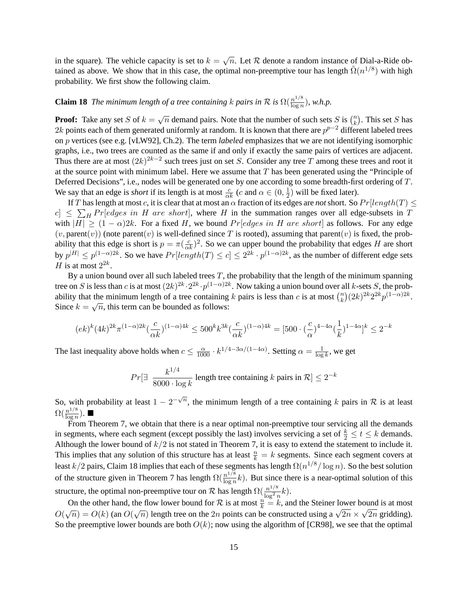in the square). The vehicle capacity is set to  $k = \sqrt{n}$ . Let R denote a random instance of Dial-a-Ride obtained as above. We show that in this case, the optimal non-preemptive tour has length  $\tilde{\Omega}(n^{1/8})$  with high probability. We first show the following claim.

#### **Claim 18** *The minimum length of a tree containing* k pairs in R is  $\Omega(\frac{n^{1/8}}{\log n})$  $\frac{n^{1/6}}{\log n}$ ), w.h.p.

**Proof:** Take any set S of  $k = \sqrt{n}$  demand pairs. Note that the number of such sets S is  $\binom{n}{k}$  $\binom{n}{k}$ . This set S has 2k points each of them generated uniformly at random. It is known that there are  $p^{p-2}$  different labeled trees on p vertices (see e.g. [vLW92], Ch.2). The term *labeled* emphasizes that we are not identifying isomorphic graphs, i.e., two trees are counted as the same if and only if exactly the same pairs of vertices are adjacent. Thus there are at most  $(2k)^{2k-2}$  such trees just on set S. Consider any tree T among these trees and root it at the source point with minimum label. Here we assume that  $T$  has been generated using the "Principle of Deferred Decisions", i.e., nodes will be generated one by one according to some breadth-first ordering of T. We say that an edge is *short* if its length is at most  $\frac{c}{\alpha k}$  (*c* and  $\alpha \in (0, \frac{1}{2})$  $(\frac{1}{2})$  will be fixed later).

If T has length at most c, it is clear that at most an  $\alpha$  fraction of its edges are *not* short. So  $Pr[length(T) \leq$  $|c| \leq \sum_{H} Pr[edges in H are short],$  where H in the summation ranges over all edge-subsets in T with  $|H| \ge (1 - \alpha)2k$ . For a fixed H, we bound  $Pr[edges in H are short]$  as follows. For any edge  $(v, parent(v))$  (note parent $(v)$  is well-defined since T is rooted), assuming that parent $(v)$  is fixed, the probability that this edge is short is  $p = \pi(\frac{c}{\alpha k})^2$ . So we can upper bound the probability that edges H are short by  $p^{|H|} \le p^{(1-\alpha)2k}$ . So we have  $Pr[length(T) \le c] \le 2^{2k} \cdot p^{(1-\alpha)2k}$ , as the number of different edge sets H is at most  $2^{2k}$ .

By a union bound over all such labeled trees  $T$ , the probability that the length of the minimum spanning tree on S is less than c is at most  $(2k)^{2k} \cdot 2^{2k} \cdot p^{(1-\alpha)2k}$ . Now taking a union bound over all k-sets S, the probability that the minimum length of a tree containing k pairs is less than c is at most  $\binom{n}{k}$ the minimum length of a tree containing k pairs is less than c is at most  $\binom{n}{k} (2k)^{2k} 2^{2k} p^{(1-\alpha)2k}$ . Since  $k = \sqrt{n}$ , this term can be bounded as follows:

$$
(ek)^k (4k)^{2k} \pi^{(1-\alpha)2k} (\frac{c}{\alpha k})^{(1-\alpha)4k} \leq 500^k k^{3k} (\frac{c}{\alpha k})^{(1-\alpha)4k} = [500 \cdot (\frac{c}{\alpha})^{4-4\alpha} (\frac{1}{k})^{1-4\alpha}]^k \leq 2^{-k}
$$

The last inequality above holds when  $c \leq \frac{\alpha}{1000} \cdot k^{1/4 - 3\alpha/(1-4\alpha)}$ . Setting  $\alpha = \frac{1}{\log n}$  $\frac{1}{\log k}$ , we get

$$
Pr[\exists \frac{k^{1/4}}{8000 \cdot \log k} \text{ length tree containing } k \text{ pairs in } \mathcal{R}] \le 2^{-k}
$$

So, with probability at least  $1 - 2^{-\sqrt{n}}$ , the minimum length of a tree containing k pairs in R is at least  $\Omega(\frac{n^{1/8}}{\log n})$  $\frac{n^{1/8}}{\log n}$ ).

From Theorem 7, we obtain that there is a near optimal non-preemptive tour servicing all the demands in segments, where each segment (except possibly the last) involves servicing a set of  $\frac{k}{2} \le t \le k$  demands. Although the lower bound of  $k/2$  is not stated in Theorem 7, it is easy to extend the statement to include it. This implies that any solution of this structure has at least  $\frac{n}{k} = k$  segments. Since each segment covers at least  $k/2$  pairs, Claim 18 implies that each of these segments has length  $\Omega(n^{1/8}/\log n)$ . So the best solution of the structure given in Theorem 7 has length  $\Omega(\frac{n^{1/8}}{\log n})$  $\frac{n^{1/9}}{\log n}k$ ). But since there is a near-optimal solution of this structure, the optimal non-preemptive tour on R has length  $\Omega(\frac{n^{1/8}}{\log^2 n})$  $\frac{n^{1/3}}{\log^2 n}k$ ).

On the other hand, the flow lower bound for  $\mathcal R$  is at most  $\frac{n}{k} = k$ , and the Steiner lower bound is at most Of the other hand, the how lower bound for  $\kappa$  is at most  $\overline{k} = \kappa$ , and the steller lower bound is at most  $O(\sqrt{n}) = O(k)$  (an  $O(\sqrt{n})$  length tree on the 2n points can be constructed using a  $\sqrt{2n} \times \sqrt{2n}$  gridding). So the preemptive lower bounds are both  $O(k)$ ; now using the algorithm of [CR98], we see that the optimal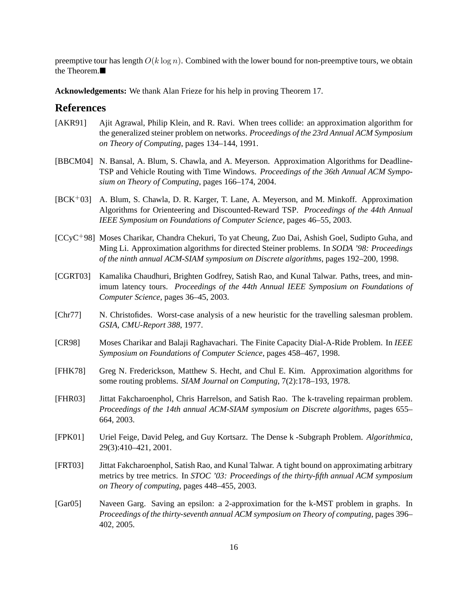preemptive tour has length  $O(k \log n)$ . Combined with the lower bound for non-preemptive tours, we obtain the Theorem.

**Acknowledgements:** We thank Alan Frieze for his help in proving Theorem 17.

#### **References**

- [AKR91] Ajit Agrawal, Philip Klein, and R. Ravi. When trees collide: an approximation algorithm for the generalized steiner problem on networks. *Proceedings of the 23rd Annual ACM Symposium on Theory of Computing*, pages 134–144, 1991.
- [BBCM04] N. Bansal, A. Blum, S. Chawla, and A. Meyerson. Approximation Algorithms for Deadline-TSP and Vehicle Routing with Time Windows. *Proceedings of the 36th Annual ACM Symposium on Theory of Computing*, pages 166–174, 2004.
- [BCK+03] A. Blum, S. Chawla, D. R. Karger, T. Lane, A. Meyerson, and M. Minkoff. Approximation Algorithms for Orienteering and Discounted-Reward TSP. *Proceedings of the 44th Annual IEEE Symposium on Foundations of Computer Science*, pages 46–55, 2003.
- [CCyC+98] Moses Charikar, Chandra Chekuri, To yat Cheung, Zuo Dai, Ashish Goel, Sudipto Guha, and Ming Li. Approximation algorithms for directed Steiner problems. In *SODA '98: Proceedings of the ninth annual ACM-SIAM symposium on Discrete algorithms*, pages 192–200, 1998.
- [CGRT03] Kamalika Chaudhuri, Brighten Godfrey, Satish Rao, and Kunal Talwar. Paths, trees, and minimum latency tours. *Proceedings of the 44th Annual IEEE Symposium on Foundations of Computer Science*, pages 36–45, 2003.
- [Chr77] N. Christofides. Worst-case analysis of a new heuristic for the travelling salesman problem. *GSIA, CMU-Report 388*, 1977.
- [CR98] Moses Charikar and Balaji Raghavachari. The Finite Capacity Dial-A-Ride Problem. In *IEEE Symposium on Foundations of Computer Science*, pages 458–467, 1998.
- [FHK78] Greg N. Frederickson, Matthew S. Hecht, and Chul E. Kim. Approximation algorithms for some routing problems. *SIAM Journal on Computing*, 7(2):178–193, 1978.
- [FHR03] Jittat Fakcharoenphol, Chris Harrelson, and Satish Rao. The k-traveling repairman problem. *Proceedings of the 14th annual ACM-SIAM symposium on Discrete algorithms*, pages 655– 664, 2003.
- [FPK01] Uriel Feige, David Peleg, and Guy Kortsarz. The Dense k -Subgraph Problem. *Algorithmica*, 29(3):410–421, 2001.
- [FRT03] Jittat Fakcharoenphol, Satish Rao, and Kunal Talwar. A tight bound on approximating arbitrary metrics by tree metrics. In *STOC '03: Proceedings of the thirty-fifth annual ACM symposium on Theory of computing*, pages 448–455, 2003.
- [Gar05] Naveen Garg. Saving an epsilon: a 2-approximation for the k-MST problem in graphs. In *Proceedings of the thirty-seventh annual ACM symposium on Theory of computing*, pages 396– 402, 2005.